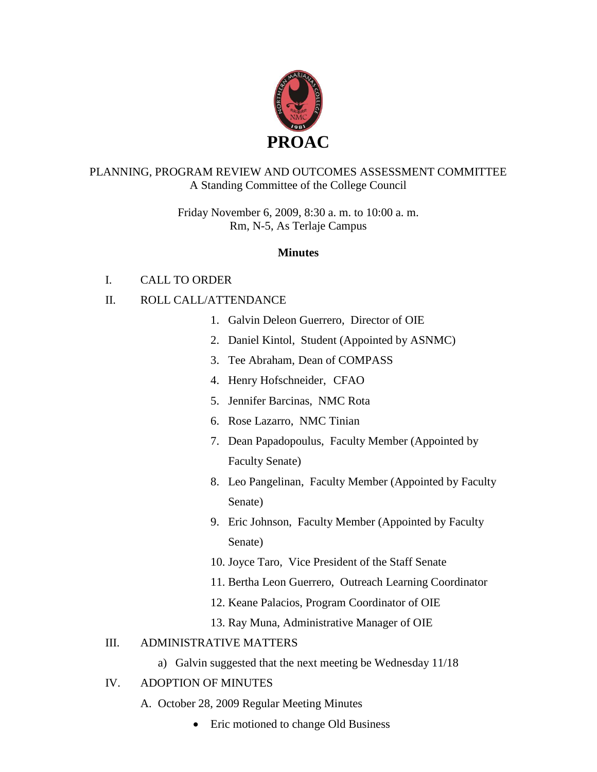

### PLANNING, PROGRAM REVIEW AND OUTCOMES ASSESSMENT COMMITTEE A Standing Committee of the College Council

Friday November 6, 2009, 8:30 a. m. to 10:00 a. m. Rm, N-5, As Terlaje Campus

### **Minutes**

# I. CALL TO ORDER

# II. ROLL CALL/ATTENDANCE

- 1. Galvin Deleon Guerrero, Director of OIE
- 2. Daniel Kintol, Student (Appointed by ASNMC)
- 3. Tee Abraham, Dean of COMPASS
- 4. Henry Hofschneider, CFAO
- 5. Jennifer Barcinas, NMC Rota
- 6. Rose Lazarro, NMC Tinian
- 7. Dean Papadopoulus, Faculty Member (Appointed by Faculty Senate)
- 8. Leo Pangelinan, Faculty Member (Appointed by Faculty Senate)
- 9. Eric Johnson, Faculty Member (Appointed by Faculty Senate)
- 10. Joyce Taro, Vice President of the Staff Senate
- 11. Bertha Leon Guerrero, Outreach Learning Coordinator
- 12. Keane Palacios, Program Coordinator of OIE
- 13. Ray Muna, Administrative Manager of OIE

#### III. ADMINISTRATIVE MATTERS

a) Galvin suggested that the next meeting be Wednesday 11/18

# IV. ADOPTION OF MINUTES

- A. October 28, 2009 Regular Meeting Minutes
	- Eric motioned to change Old Business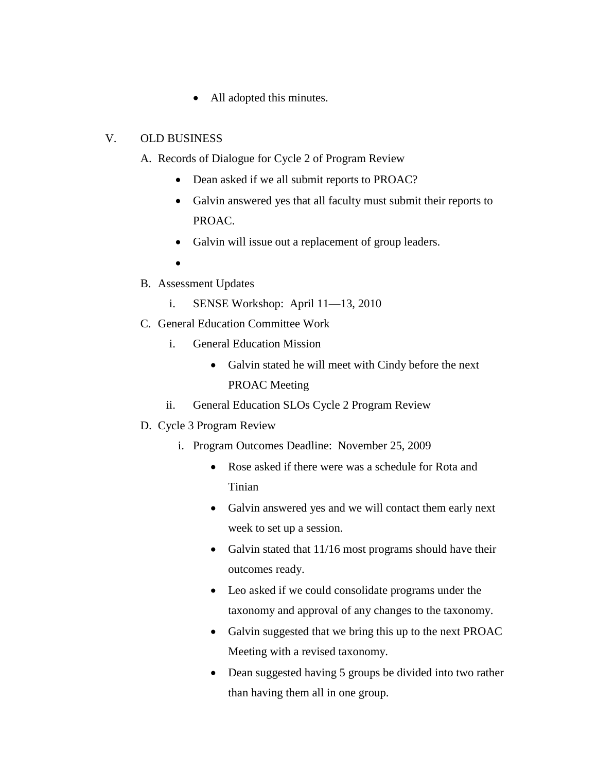• All adopted this minutes.

#### V. OLD BUSINESS

- A. Records of Dialogue for Cycle 2 of Program Review
	- Dean asked if we all submit reports to PROAC?
	- Galvin answered yes that all faculty must submit their reports to PROAC.
	- Galvin will issue out a replacement of group leaders.
	- $\bullet$
- B. Assessment Updates
	- i. SENSE Workshop: April 11—13, 2010
- C. General Education Committee Work
	- i. General Education Mission
		- Galvin stated he will meet with Cindy before the next PROAC Meeting
	- ii. General Education SLOs Cycle 2 Program Review
- D. Cycle 3 Program Review
	- i. Program Outcomes Deadline: November 25, 2009
		- Rose asked if there were was a schedule for Rota and Tinian
		- Galvin answered yes and we will contact them early next week to set up a session.
		- Galvin stated that  $11/16$  most programs should have their outcomes ready.
		- Leo asked if we could consolidate programs under the taxonomy and approval of any changes to the taxonomy.
		- Galvin suggested that we bring this up to the next PROAC Meeting with a revised taxonomy.
		- Dean suggested having 5 groups be divided into two rather than having them all in one group.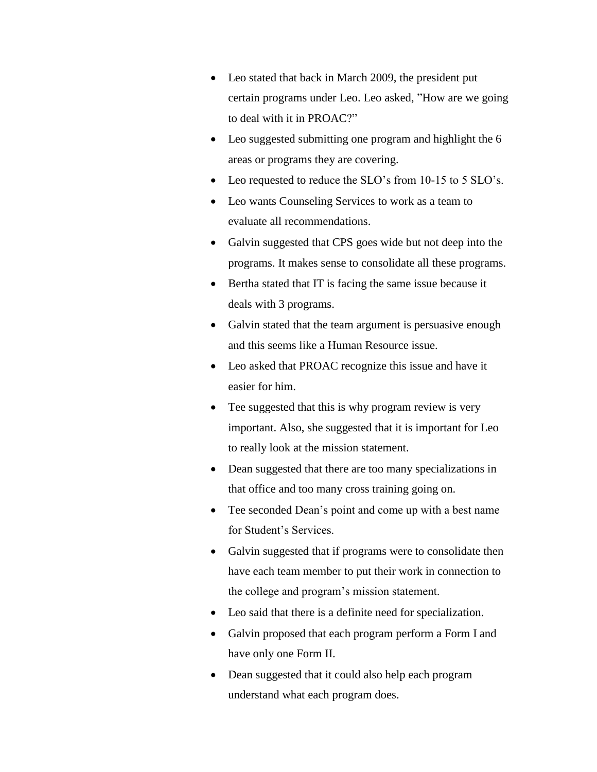- Leo stated that back in March 2009, the president put certain programs under Leo. Leo asked, "How are we going to deal with it in PROAC?"
- Leo suggested submitting one program and highlight the 6 areas or programs they are covering.
- Leo requested to reduce the SLO's from 10-15 to 5 SLO's.
- Leo wants Counseling Services to work as a team to evaluate all recommendations.
- Galvin suggested that CPS goes wide but not deep into the programs. It makes sense to consolidate all these programs.
- Bertha stated that IT is facing the same issue because it deals with 3 programs.
- Galvin stated that the team argument is persuasive enough and this seems like a Human Resource issue.
- Leo asked that PROAC recognize this issue and have it easier for him.
- Tee suggested that this is why program review is very important. Also, she suggested that it is important for Leo to really look at the mission statement.
- Dean suggested that there are too many specializations in that office and too many cross training going on.
- Tee seconded Dean's point and come up with a best name for Student's Services.
- Galvin suggested that if programs were to consolidate then have each team member to put their work in connection to the college and program's mission statement.
- Leo said that there is a definite need for specialization.
- Galvin proposed that each program perform a Form I and have only one Form II.
- Dean suggested that it could also help each program understand what each program does.